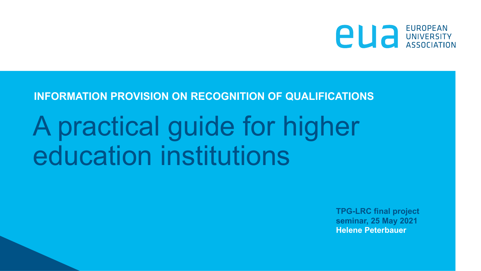

## **INFORMATION PROVISION ON RECOGNITION OF QUALIFICATIONS**

## A practical guide for higher education institutions

**TPG-LRC final project seminar, 25 May 2021 Helene Peterbauer**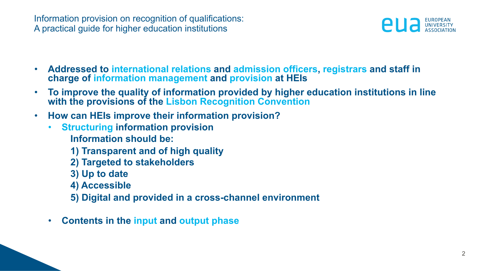Information provision on recognition of qualifications: A practical guide for higher education institutions



- **Addressed to international relations and admission officers, registrars and staff in charge of information management and provision at HEIs**
- **To improve the quality of information provided by higher education institutions in line with the provisions of the Lisbon Recognition Convention**
- **How can HEIs improve their information provision?**
	- **Structuring information provision Information should be:** 
		- **1) Transparent and of high quality**
		- **2) Targeted to stakeholders**
		- **3) Up to date**
		- **4) Accessible**
		- **5) Digital and provided in a cross-channel environment**
	- **Contents in the input and output phase**